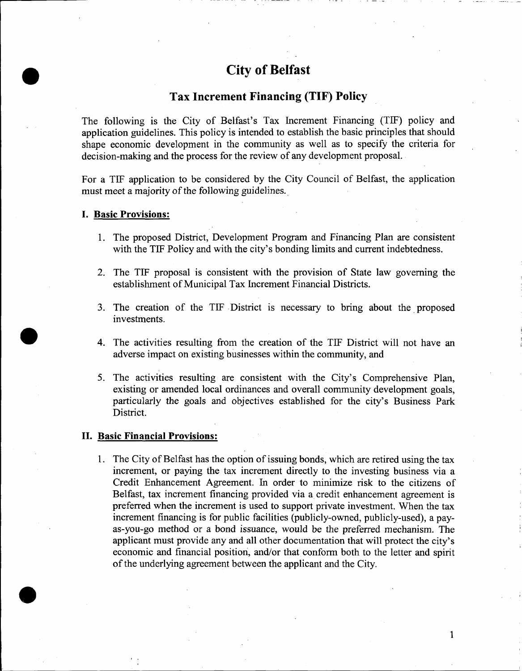# **City of Belfast**

## **Tax Increment Financing (TIF) Policy**

The following is the City of Belfast's Tax Increment Financing (TIF) policy and application guidelines. This policy is intended to establish the basic principles that should shape economic development in the community as well as to specify the criteria for decision-making and the process for the review of any development proposal.

For a TIF application to be considered by the City Council of Belfast, the application must meet a majority of the following guidelines.

#### **I. Basic Provisions:**

•

•

•

- 1. The proposed District, Development Program and Financing Plan are consistent with the TIF Policy and with the city's bonding limits and current indebtedness.
- 2. The TIF proposal is consistent with the provision of State law governing the establishment of Municipal Tax Increment Financial Districts.
- 3. The creation of the TIF District is necessary to bring about the proposed investments.
- 4. The activities resulting from the creation of the TIF District will not have an adverse impact on existing businesses within the community, and
- 5. The activities resulting are consistent with the City's Comprehensive Plan, existing or amended local ordinances and overall community development goals, particularly the goals and objectives established for the city's Business Park District.

#### **II. Basic Financial Provisions:**

1. The City of Belfast has the option of issuing bonds, which are retired using the tax increment, or paying the tax increment directly to the investing business via a Credit Enhancement Agreement. In order to minimize risk to the citizens of Belfast, tax increment financing provided via a credit enhancement agreement is preferred when the increment is used to support private investment. When the tax increment financing is for public facilities (publicly-owned, publicly-used), a payas-you-go method or a bond issuance, would be the preferred mechanism. The applicant must provide any and all other documentation that will protect the city's economic and financial position, and/or that conform both to the letter and spirit of the underlying agreement between the applicant and the City .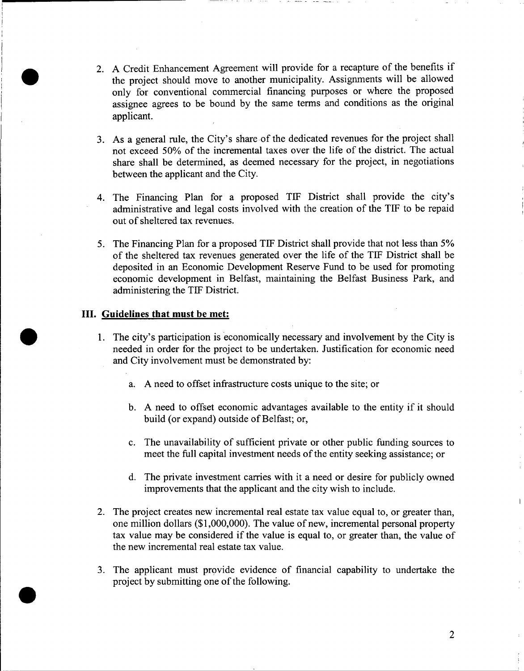- 2. A Credit Enhancement Agreement will provide for a recapture of the benefits if the project should move to another municipality. Assignments will be allowed only for conventional commercial financing purposes or where the proposed assignee agrees to be bound by the same terms and conditions as the original applicant.
- 3. As a general rule, the City's share of the dedicated revenues for the project shall not exceed 50% of the incremental taxes over the life of the district. The actual share shall be determined, as deemed necessary for the project, in negotiations between the applicant and the City.
- 4. The Financing Plan for a proposed TIF District shall provide the city's administrative and legal costs involved with the creation of the TIF to be repaid out of sheltered tax revenues.
- 5. The Financing Plan for a proposed TIF District shall provide that not less than 5% of the sheltered tax revenues generated over the life of the TIF District shall be deposited in an Economic Development Reserve Fund to be used for promoting economic development in Belfast, maintaining the Belfast Business Park, and administering the TIF District.

### **III. Guidelines that must be met:**

•

- 1. The city's participation is economically necessary and involvement by the City is needed in order for the project to be undertaken. Justification for economic need and City involvement must be demonstrated by:
	- a. A need to offset infrastructure costs unique to the site; or
	- b. A need to offset economic advantages available to the entity if it should build (or expand) outside of Belfast; or,
	- c. The unavailability of sufficient private or other public funding sources to meet the full capital investment needs of the entity seeking assistance; or
	- d. The private investment carries with it a need or desire for publicly owned improvements that the applicant and the city wish to include.
- 2. The project creates new incremental real estate tax value equal to, or greater than, one million dollars (\$1,000,000). The value of new, incremental personal property tax value may be considered if the value is equal to, or greater than, the value of the new incremental real estate tax value.
- 3. The applicant must provide evidence of financial capability to undertake the project by submitting one of the following.

2

 $\overline{1}$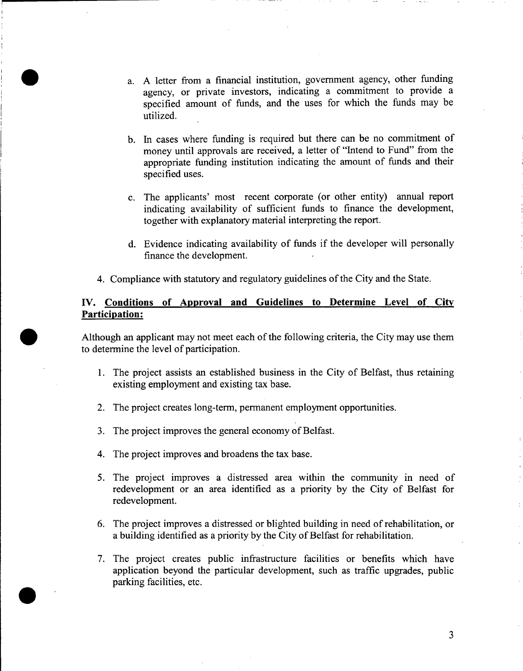- a. A letter from a financial institution, government agency, other funding agency, or private investors, indicating a commitment to provide a specified amount of funds, and the uses for which the funds may be utilized.
- b. In cases where funding is required but there can be no commitment of money until approvals are received, a letter of "Intend to Fund" from the appropriate funding institution indicating the amount of funds and their specified uses.
- c. The applicants' most recent corporate (or other entity) annual report indicating availability of sufficient funds to finance the development, together with explanatory material interpreting the report.
- d. Evidence indicating availability of funds if the developer will personally finance the development.
- 4. Compliance with statutory and regulatory guidelines of the City and the State.

## **IV. Conditions of Approval and Guidelines to Determine Level of City Participation:**

Although an applicant may not meet each of the following criteria, the City may use them to detennine the level of participation.

- 1. The project assists an established business in the City of Belfast, thus retaining existing employment and existing tax base.
- 2. The project creates long-term, permanent employment opportunities.
- 3. The project improves the general economy of Belfast.
- 4. The project improves and broadens the tax base.

•

•

- 5. The project improves a distressed area within the community in need of redevelopment or an area identified as a priority by the City of Belfast for redevelopment.
- 6. The project improves a distressed or blighted building in need of rehabilitation, or a building identified as a priority by the City of Belfast for rehabilitation.
- 7. The project creates public infrastructure facilities or benefits which have application beyond the particular development, such as traffic upgrades, public parking facilities, etc.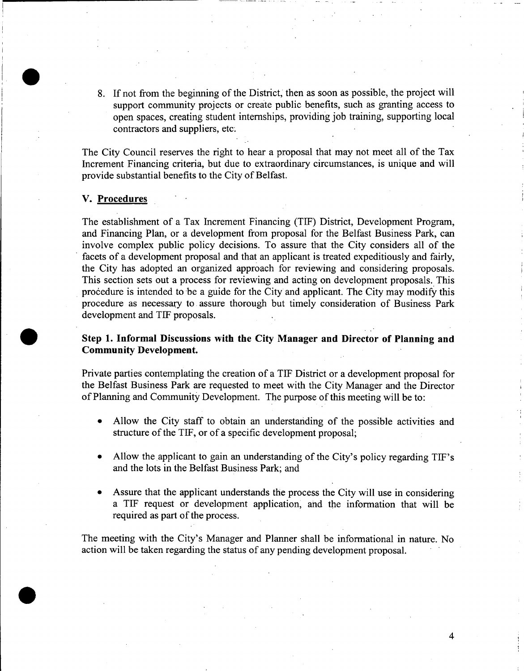8. If not from the beginning of the District, then as soon as possible, the project will support community projects or create public benefits, such as granting access to open spaces, creating student internships, providing job training, supporting local contractors and suppliers, etc;

The City Council reserves the right to hear a proposal that may not meet all of the Tax Increment Financing criteria, but due to extraordinary circumstances, is unique and will provide substantial benefits to the City of Belfast.

#### v. Procedures

•

•

•

The establishment of a Tax Increment Financing (TIF) District, Development Program, and Financing Plan, or a development from proposal for the Belfast Business Park, can involve complex public policy decisions. To assure that the City considers all of the facets of a development proposal and that an applicant is treated expeditiously and fairly, the City has adopted an organized approach for reviewing and considering proposals. This section sets out a process for reviewing and acting on development proposals. This procedure is intended to be a guide for the City and applicant. The City may modify this procedure as necessary to assure thorough but timely consideration of Business Park development and TIF proposals.

## Step 1. Informal Discussions with the City Manager and Director of Planning and Community Development.

Private parties contemplating the creation of a TIF District or a development proposal for the Belfast Business Park are requested to meet with the City Manager and the Director of Planning and Community Development. The purpose of this meeting will be to:

- Allow the City staff to obtain an understanding of the possible activities and structure of the TIF, or of a specific development proposal;
- Allow the applicant to gain an understanding of the City's policy regarding TIF's and the lots in the Belfast Business Park; and
- Assure that the applicant understands the process the City will use in considering a TIF request or development application, and the information that will be required as part of the process.

The meeting with the City's Manager and Planner shall be informational in nature. No action will be taken regarding the status of any pending development proposal.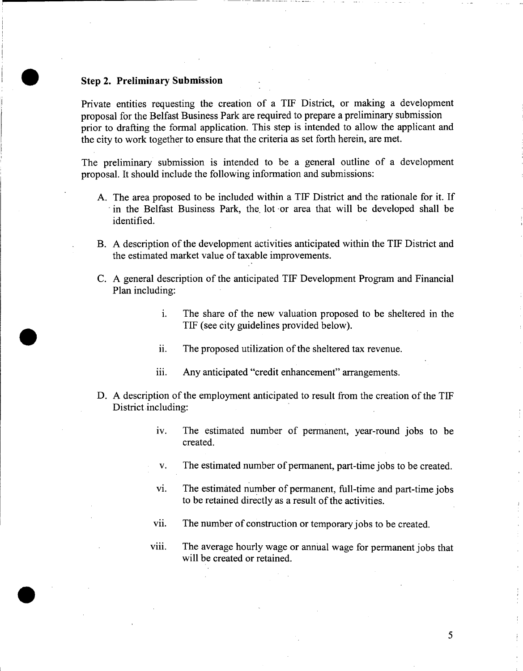## **• Step 2. Preliminary Submission**

•

•

Private entities requesting the creation of a TIF District, or making a development proposal for the Belfast Business Park are required to prepare a preliminary submission prior to drafting the formal application. This step is intended to allow the applicant and the city to work together to ensure that the criteria as set forth herein, are met.

The preliminary submission is intended to be a general outline of a development proposal. It should include the following information and submissions:

- A. The area proposed to be included within a TIF District and the rationale for it. If . in the Belfast Business Park, the. lot ·or area that will be developed shall be identified.
- B. A description of the development activities anticipated within the TIF District and the estimated market value of taxable improvements.
- C. A general description of the anticipated TIF Development Program and Financial Plan including:
	- 1. The share of the new valuation proposed to be sheltered in the TIF (see city guidelines provided below).
	- ii. The proposed utilization of the sheltered tax revenue.
	- iii. Any anticipated "credit enhancement" arrangements.
- D. A description of the employment anticipated to result from the creation of the TIF District including:
	- iv. The estimated number of permanent, year-round jobs to be created.
	- v. The estimated number of permanent, part-time jobs to be created.
	- vi. The estimated number of permanent, full-time and part-time jobs to be retained directly as a result of the activities.
	- vii. The number of construction or temporary jobs to be created.
	- viii. The average hourly wage or annual wage for permanent jobs that will be created or retained.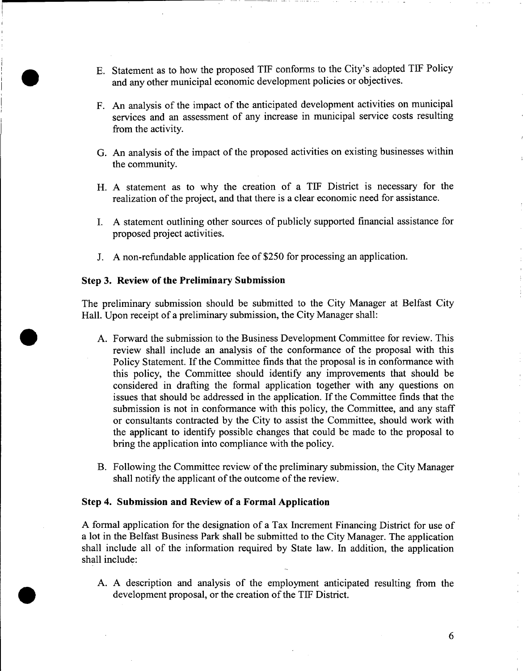- E. Statement as to how the proposed TIF conforms to the City's adopted TIF Policy and any other municipal economic development policies or objectives.
- F. An analysis of the impact of the anticipated development activities on municipal services and an assessment of any increase in municipal service costs resulting from the activity.
- G. An analysis of the impact of the proposed activities on existing businesses within the community.
- H. A statement as to why the creation of a TIF District is necessary for the realization of the project, and that there is a clear economic need for assistance.
- I. A statement outlining other sources of publicly supported financial assistance for proposed project activities.
- J. A non-refundable application fee of\$250 for processing an application.

#### **Step 3. Review of the Preliminary Submission**

•

•

•

The preliminary submission should be submitted to the City Manager at Belfast City Hall. Upon receipt of a preliminary submission, the City Manager shall:

- A. Forward the submission to the Business Development Committee for review. This review shall include an analysis of the conformance of the proposal with this Policy Statement. If the Committee finds that the proposal is in conformance with this policy, the Committee should identify any improvements that should be considered in drafting the formal application together with any questions on issues that should be addressed in the application. If the Committee finds that the submission is not in conformance with this policy, the Committee, and any staff or consultants contracted by the City to assist the Committee, should work with the applicant to identify possible changes that could be made to the proposal to bring the application into compliance with the policy.
- B. Following the Committee review of the preliminary submission, the City Manager shall notify the applicant of the outcome of the review.

#### **Step 4. Submission and Review of a Formal Application**

A formal application for the designation of a Tax Increment Financing District for use of a lot in the Belfast Business Park shall be submitted to the City Manager. The application shall include all of the information required by State law. In addition, the application shall include:

A. A description and analysis of the employment anticipated resulting from the development proposal, or the creation of the TIF District.